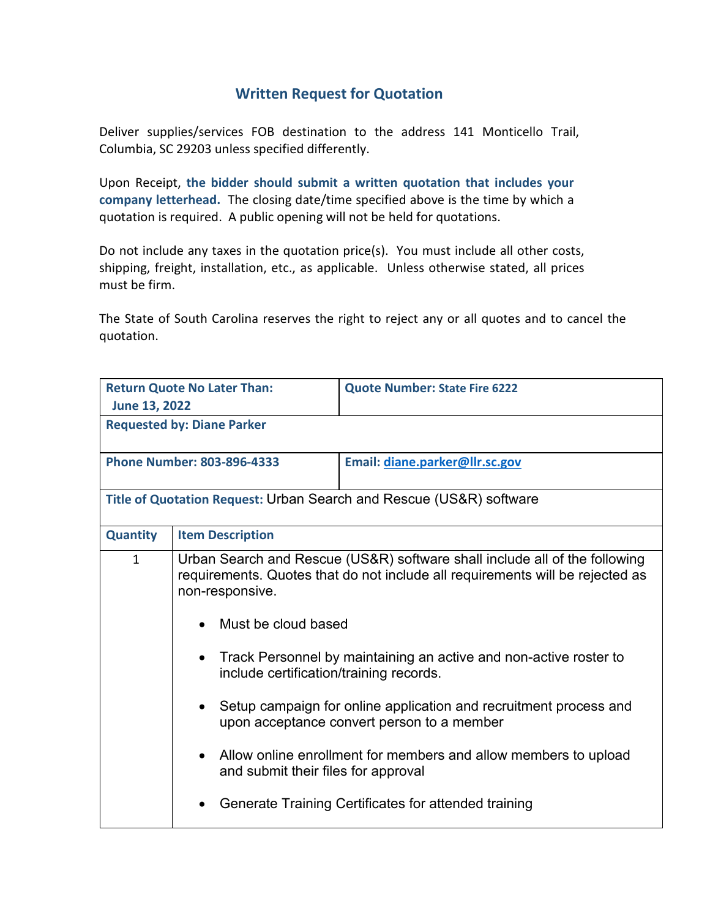## **Written Request for Quotation**

Deliver supplies/services FOB destination to the address 141 Monticello Trail, Columbia, SC 29203 unless specified differently.

Upon Receipt, **the bidder should submit a written quotation that includes your company letterhead.** The closing date/time specified above is the time by which a quotation is required. A public opening will not be held for quotations.

Do not include any taxes in the quotation price(s). You must include all other costs, shipping, freight, installation, etc., as applicable. Unless otherwise stated, all prices must be firm.

The State of South Carolina reserves the right to reject any or all quotes and to cancel the quotation.

| <b>Return Quote No Later Than:</b>                                  |                                                                                                                                                                                | <b>Quote Number: State Fire 6222</b>                                                                            |  |
|---------------------------------------------------------------------|--------------------------------------------------------------------------------------------------------------------------------------------------------------------------------|-----------------------------------------------------------------------------------------------------------------|--|
| June 13, 2022                                                       |                                                                                                                                                                                |                                                                                                                 |  |
| <b>Requested by: Diane Parker</b>                                   |                                                                                                                                                                                |                                                                                                                 |  |
| <b>Phone Number: 803-896-4333</b>                                   |                                                                                                                                                                                | Email: diane.parker@llr.sc.gov                                                                                  |  |
| Title of Quotation Request: Urban Search and Rescue (US&R) software |                                                                                                                                                                                |                                                                                                                 |  |
| <b>Quantity</b>                                                     | <b>Item Description</b>                                                                                                                                                        |                                                                                                                 |  |
| $\mathbf{1}$                                                        | Urban Search and Rescue (US&R) software shall include all of the following<br>requirements. Quotes that do not include all requirements will be rejected as<br>non-responsive. |                                                                                                                 |  |
|                                                                     | Must be cloud based                                                                                                                                                            |                                                                                                                 |  |
|                                                                     | $\bullet$<br>include certification/training records.                                                                                                                           | Track Personnel by maintaining an active and non-active roster to                                               |  |
|                                                                     |                                                                                                                                                                                | Setup campaign for online application and recruitment process and<br>upon acceptance convert person to a member |  |
|                                                                     | and submit their files for approval                                                                                                                                            | Allow online enrollment for members and allow members to upload                                                 |  |
|                                                                     |                                                                                                                                                                                | Generate Training Certificates for attended training                                                            |  |